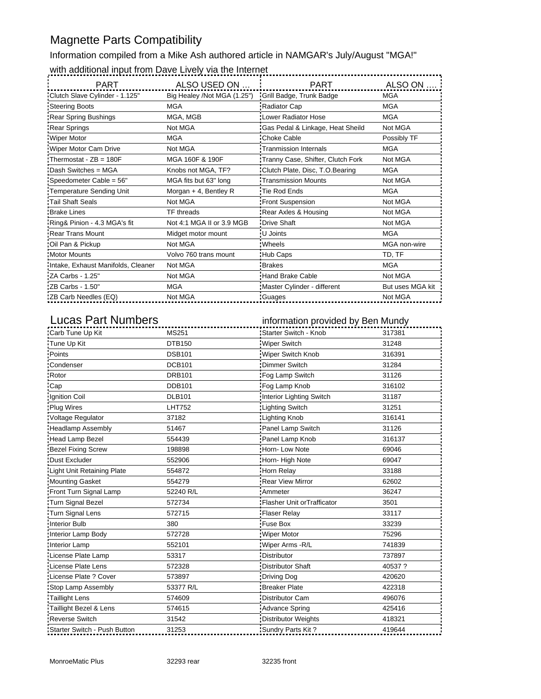#### Magnette Parts Compatibility

Information compiled from a Mike Ash authored article in NAMGAR's July/August "MGA!" with additional input from Dave Lively via the Internet

| <b>PART</b>                        | ALSO USED ON                                         | <b>PART</b>                       | ALSO ON          |
|------------------------------------|------------------------------------------------------|-----------------------------------|------------------|
| Clutch Slave Cylinder - 1.125"     | Big Healey /Not MGA (1.25") Grill Badge, Trunk Badge |                                   | <b>MGA</b>       |
| Steering Boots                     | MGA                                                  | Radiator Cap                      | <b>MGA</b>       |
| <b>Rear Spring Bushings</b>        | MGA, MGB                                             | Lower Radiator Hose               | <b>MGA</b>       |
| <b>Rear Springs</b>                | Not MGA                                              | Gas Pedal & Linkage, Heat Sheild  | Not MGA          |
| Wiper Motor                        | <b>MGA</b>                                           | Choke Cable                       | Possibly TF      |
| Wiper Motor Cam Drive              | Not MGA                                              | <b>Tranmission Internals</b>      | <b>MGA</b>       |
| Thermostat - $ZB = 180F$           | MGA 160F & 190F                                      | Tranny Case, Shifter, Clutch Fork | Not MGA          |
| Dash Switches = MGA                | Knobs not MGA, TF?                                   | Clutch Plate, Disc, T.O.Bearing   | <b>MGA</b>       |
| Speedometer Cable = 56"            | MGA fits but 63" long                                | Transmission Mounts               | Not MGA          |
| Temperature Sending Unit           | Morgan $+$ 4, Bentley R                              | Tie Rod Ends                      | <b>MGA</b>       |
| Tail Shaft Seals                   | Not MGA                                              | <b>Front Suspension</b>           | Not MGA          |
| : Brake Lines                      | <b>TF</b> threads                                    | Rear Axles & Housing              | Not MGA          |
| Ring& Pinion - 4.3 MGA's fit       | Not 4:1 MGA II or 3.9 MGB                            | Drive Shaft                       | Not MGA          |
| <b>Rear Trans Mount</b>            | Midget motor mount                                   | : U Joints                        | <b>MGA</b>       |
| Oil Pan & Pickup                   | Not MGA                                              | <b>Wheels</b>                     | MGA non-wire     |
| <b>Motor Mounts</b>                | Volvo 760 trans mount                                | Hub Caps                          | TD, TF           |
| Intake, Exhaust Manifolds, Cleaner | Not MGA                                              | :Brakes                           | <b>MGA</b>       |
| ZA Carbs - 1.25"                   | Not MGA                                              | <b>Hand Brake Cable</b>           | Not MGA          |
| ZB Carbs - 1.50"                   | <b>MGA</b>                                           | Master Cylinder - different       | But uses MGA kit |
| ZB Carb Needles (EQ)               | Not MGA                                              | Guages                            | Not MGA          |

Lucas Part Numbers **information** provided by Ben Mundy

| Carb Tune Up Kit             | MS251         | Starter Switch - Knob       | 317381  |
|------------------------------|---------------|-----------------------------|---------|
| Tune Up Kit                  | <b>DTB150</b> | Wiper Switch                | 31248   |
| <b>Points</b>                | <b>DSB101</b> | Wiper Switch Knob           | 316391  |
| Condenser                    | <b>DCB101</b> | Dimmer Switch               | 31284   |
| Rotor                        | <b>DRB101</b> | Fog Lamp Switch             | 31126   |
| Cap <sup>-</sup>             | <b>DDB101</b> | Fog Lamp Knob               | 316102  |
| Ignition Coil                | <b>DLB101</b> | Interior Lighting Switch    | 31187   |
| <b>Plug Wires</b>            | <b>LHT752</b> | <b>Lighting Switch</b>      | 31251   |
| Voltage Regulator            | 37182         | <b>Lighting Knob</b>        | 316141  |
| <b>Headlamp Assembly</b>     | 51467         | Panel Lamp Switch           | 31126   |
| Head Lamp Bezel              | 554439        | Panel Lamp Knob             | 316137  |
| Bezel Fixing Screw           | 198898        | Horn-Low Note               | 69046   |
| Dust Excluder                | 552906        | Horn-High Note              | 69047   |
| Light Unit Retaining Plate   | 554872        | Horn Relay                  | 33188   |
| Mounting Gasket              | 554279        | <b>Rear View Mirror</b>     | 62602   |
| Front Turn Signal Lamp       | 52240 R/L     | Ammeter                     | 36247   |
| Turn Signal Bezel            | 572734        | Flasher Unit or Trafficator | 3501    |
| Turn Signal Lens             | 572715        | <b>Flaser Relay</b>         | 33117   |
| Interior Bulb                | 380           | Fuse Box                    | 33239   |
| Interior Lamp Body           | 572728        | <b>Wiper Motor</b>          | 75296   |
| Interior Lamp                | 552101        | Wiper Arms - R/L            | 741839  |
| License Plate Lamp           | 53317         | <b>Distributor</b>          | 737897  |
| License Plate Lens           | 572328        | Distributor Shaft           | 40537 ? |
| License Plate ? Cover        | 573897        | Driving Dog                 | 420620  |
| Stop Lamp Assembly           | 53377 R/L     | <b>Breaker Plate</b>        | 422318  |
| Taillight Lens               | 574609        | Distributor Cam             | 496076  |
| Taillight Bezel & Lens       | 574615        | Advance Spring              | 425416  |
| <b>Reverse Switch</b>        | 31542         | <b>Distributor Weights</b>  | 418321  |
| Starter Switch - Push Button | 31253         | Sundry Parts Kit?           | 419644  |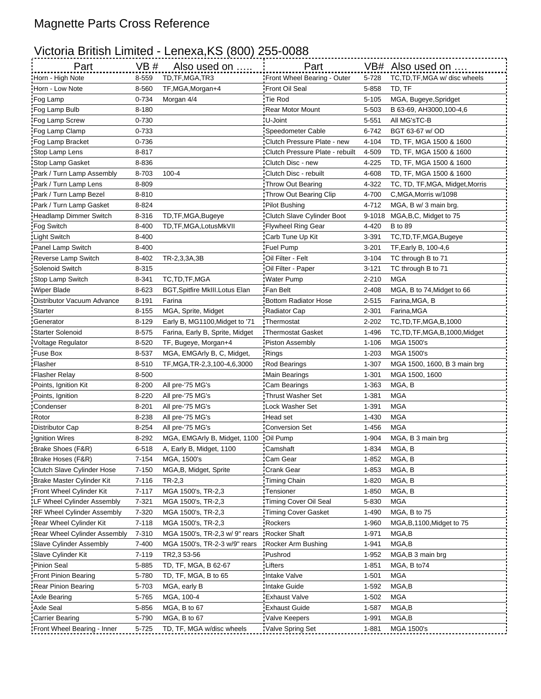## Magnette Parts Cross Reference

## Victoria British Limited - Lenexa,KS (800) 255-0088

| Front Wheel Bearing - Outer<br>8-559<br>TD, TF, MGA, TR3<br>5-728<br>TC, TD, TF, MGA w/ disc wheels<br>Horn - High Note<br>Horn - Low Note<br>8-560<br>TF, MGA, Morgan+4<br>Front Oil Seal<br>5-858<br>TD, TF<br>Tie Rod<br>0-734<br>Morgan 4/4<br>$5 - 105$<br>MGA, Bugeye, Spridget<br>:Fog Lamp<br>Fog Lamp Bulb<br>8-180<br>Rear Motor Mount<br>5-503<br>B 63-69, AH3000, 100-4, 6<br>U-Joint<br>Fog Lamp Screw<br>0-730<br>5-551<br>All MG'sTC-B<br>Fog Lamp Clamp<br>0-733<br>Speedometer Cable<br>6-742<br>BGT 63-67 w/OD<br>Fog Lamp Bracket<br>0-736<br>Clutch Pressure Plate - new<br>4-104<br>TD, TF, MGA 1500 & 1600<br>Stop Lamp Lens<br>8-817<br>Clutch Pressure Plate - rebuilt<br>4-509<br>TD, TF, MGA 1500 & 1600<br>Stop Lamp Gasket<br>8-836<br>Clutch Disc - new<br>4-225<br>TD, TF, MGA 1500 & 1600<br>8-703<br>$100 - 4$<br>Park / Turn Lamp Assembly<br>Clutch Disc - rebuilt<br>4-608<br>TD, TF, MGA 1500 & 1600<br>Park / Turn Lamp Lens<br>8-809<br>Throw Out Bearing<br>4-322<br>TC, TD, TF, MGA, Midget, Morris<br>Park / Turn Lamp Bezel<br>8-810<br>Throw Out Bearing Clip<br>4-700<br>C, MGA, Morris w/1098<br>Park / Turn Lamp Gasket<br>8-824<br>Pilot Bushing<br>4-712<br>MGA, B w/ 3 main brg.<br>Headlamp Dimmer Switch<br>8-316<br>TD, TF, MGA, Bugeye<br>Clutch Slave Cylinder Boot<br>9-1018<br>MGA, B, C, Midget to 75<br>8-400<br>Fog Switch<br>TD, TF, MGA, Lotus MkVII<br><b>Flywheel Ring Gear</b><br>4-420<br><b>B</b> to 89<br><b>Light Switch</b><br>8-400<br>Carb Tune Up Kit<br>3-391<br>TC, TD, TF, MGA, Bugeye<br>Panel Lamp Switch<br>8-400<br>Fuel Pump<br>$3 - 201$<br>TF, Early B, 100-4, 6<br>8-402<br>TR-2,3,3A,3B<br>Oil Filter - Felt<br>$3 - 104$<br>TC through B to 71<br>Reverse Lamp Switch<br>Solenoid Switch<br>8-315<br>Oil Filter - Paper<br>$3 - 121$<br>TC through B to 71<br>TC, TD, TF, MGA<br>Stop Lamp Switch<br>8-341<br>Water Pump<br>$2 - 210$<br><b>MGA</b><br>8-623<br><b>Wiper Blade</b><br><b>BGT, Spitfire MkIII. Lotus Elan</b><br>Fan Belt<br>2-408<br>MGA, B to 74, Midget to 66<br>Distributor Vacuum Advance<br>8-191<br>Farina<br>Bottom Radiator Hose<br>2-515<br>Farina, MGA, B<br>Starter<br>8-155<br>Radiator Cap<br>2-301<br>MGA, Sprite, Midget<br>Farina, MGA<br>8-129<br>Early B, MG1100, Midget to '71<br><b>Thermostat</b><br>2-202<br>TC, TD, TF, MGA, B, 1000<br>Generator<br><b>Starter Solenoid</b><br>8-575<br>Farina, Early B, Sprite, Midget<br>Thermostat Gasket<br>1-496<br>TC, TD, TF, MGA, B, 1000, Midget<br>Piston Assembly<br>Voltage Regulator<br>8-520<br>TF, Bugeye, Morgan+4<br>$1 - 106$<br>MGA 1500's<br><b>Fuse Box</b><br>8-537<br>MGA, EMGArly B, C, Midget,<br>:Rings<br>$1 - 203$<br>MGA 1500's<br>Flasher<br>8-510<br>TF, MGA, TR-2, 3, 100-4, 6, 3000<br>1-307<br>Rod Bearings<br>MGA 1500, 1600, B 3 main brg<br>8-500<br>Main Bearings<br>$1 - 301$<br>MGA 1500, 1600<br>Flasher Relay<br>8-200<br>All pre-'75 MG's<br>1-363<br>MGA, B<br>Points, Ignition Kit<br>Cam Bearings<br>8-220<br>Thrust Washer Set<br>1-381<br><b>MGA</b><br>Points, Ignition<br>All pre-'75 MG's<br>$8 - 201$<br>1-391<br>MGA<br>Condenser<br>All pre-'75 MG's<br>Lock Washer Set<br><b>Rotor</b><br>8-238<br>Head set<br>1-430<br>MGA<br>All pre-'75 MG's<br>Distributor Cap<br>8-254<br>Conversion Set<br>1-456<br>MGA<br>All pre-'75 MG's<br>:Oil Pump<br>Ignition Wires<br>8-292<br>MGA, EMGArly B, Midget, 1100<br>1-904<br>MGA, B 3 main brg<br>Camshaft<br>1-834<br>6-518<br>A, Early B, Midget, 1100<br>MGA, B<br>Brake Shoes (F&R)<br>Brake Hoses (F&R)<br>7-154<br>MGA, 1500's<br>Cam Gear<br>1-852<br>MGA, B<br>Clutch Slave Cylinder Hose<br>$7 - 150$<br>MGA, B, Midget, Sprite<br>Crank Gear<br>1-853<br>MGA, B<br>7-116<br>$TR-2,3$<br>Timing Chain<br>1-820<br>MGA, B<br>Brake Master Cylinder Kit<br>Front Wheel Cylinder Kit<br>$7 - 117$<br>1-850<br>MGA, B<br>MGA 1500's, TR-2,3<br>:Tensioner<br>7-321<br>Timing Cover Oil Seal<br>5-830<br>MGA<br>LF Wheel Cylinder Assembly<br>MGA 1500's, TR-2,3<br>RF Wheel Cylinder Assembly<br>7-320<br>Timing Cover Gasket<br>1-490<br>MGA, B to 75<br>MGA 1500's, TR-2,3<br>Rear Wheel Cylinder Kit<br>7-118<br>Rockers<br>1-960<br>MGA 1500's, TR-2,3<br>MGA, B, 1100, Midget to 75<br>7-310<br>MGA 1500's, TR-2,3 w/ 9" rears<br>Rocker Shaft<br>1-971<br>MGA,B<br>Rear Wheel Cylinder Assembly<br>Slave Cylinder Assembly<br>7-400<br>1-941<br>MGA,B<br>MGA 1500's, TR-2-3 w/9" rears<br>Rocker Arm Bushing<br>7-119<br>TR2,3 53-56<br>Pushrod<br>1-952<br>Slave Cylinder Kit<br>MGA,B 3 main brg<br>Pinion Seal<br>5-885<br><b>Lifters</b><br>$1 - 851$<br>MGA, B to74<br>TD, TF, MGA, B 62-67<br>5-780<br>$1 - 501$<br>Front Pinion Bearing<br>TD, TF, MGA, B to 65<br>Intake Valve<br>MGA<br>5-703<br>1-592<br>MGA,B<br>Rear Pinion Bearing<br>MGA, early B<br>: Intake Guide<br><b>Exhaust Valve</b><br>1-502<br>Axle Bearing<br>5-765<br>MGA, 100-4<br>MGA<br>Axle Seal<br>5-856<br>1-587<br>MGA, B to 67<br><b>Exhaust Guide</b><br>MGA,B<br>Valve Keepers<br>5-790<br>MGA, B to 67<br>1-991<br>MGA,B<br>Carrier Bearing | Part                        |       | VB # Also used on         | Part             |       | VB# Also used on |
|---------------------------------------------------------------------------------------------------------------------------------------------------------------------------------------------------------------------------------------------------------------------------------------------------------------------------------------------------------------------------------------------------------------------------------------------------------------------------------------------------------------------------------------------------------------------------------------------------------------------------------------------------------------------------------------------------------------------------------------------------------------------------------------------------------------------------------------------------------------------------------------------------------------------------------------------------------------------------------------------------------------------------------------------------------------------------------------------------------------------------------------------------------------------------------------------------------------------------------------------------------------------------------------------------------------------------------------------------------------------------------------------------------------------------------------------------------------------------------------------------------------------------------------------------------------------------------------------------------------------------------------------------------------------------------------------------------------------------------------------------------------------------------------------------------------------------------------------------------------------------------------------------------------------------------------------------------------------------------------------------------------------------------------------------------------------------------------------------------------------------------------------------------------------------------------------------------------------------------------------------------------------------------------------------------------------------------------------------------------------------------------------------------------------------------------------------------------------------------------------------------------------------------------------------------------------------------------------------------------------------------------------------------------------------------------------------------------------------------------------------------------------------------------------------------------------------------------------------------------------------------------------------------------------------------------------------------------------------------------------------------------------------------------------------------------------------------------------------------------------------------------------------------------------------------------------------------------------------------------------------------------------------------------------------------------------------------------------------------------------------------------------------------------------------------------------------------------------------------------------------------------------------------------------------------------------------------------------------------------------------------------------------------------------------------------------------------------------------------------------------------------------------------------------------------------------------------------------------------------------------------------------------------------------------------------------------------------------------------------------------------------------------------------------------------------------------------------------------------------------------------------------------------------------------------------------------------------------------------------------------------------------------------------------------------------------------------------------------------------------------------------------------------------------------------------------------------------------------------------------------------------------------------------------------------------------------------------------------------------------------------------------------------------------------------------------------------------------------------------------------------------------------------------------------------------------------------------------------------------------------------------------------------------------------------------------------------------------------------------------------------------------------------------------------------------------------------------------------------|-----------------------------|-------|---------------------------|------------------|-------|------------------|
|                                                                                                                                                                                                                                                                                                                                                                                                                                                                                                                                                                                                                                                                                                                                                                                                                                                                                                                                                                                                                                                                                                                                                                                                                                                                                                                                                                                                                                                                                                                                                                                                                                                                                                                                                                                                                                                                                                                                                                                                                                                                                                                                                                                                                                                                                                                                                                                                                                                                                                                                                                                                                                                                                                                                                                                                                                                                                                                                                                                                                                                                                                                                                                                                                                                                                                                                                                                                                                                                                                                                                                                                                                                                                                                                                                                                                                                                                                                                                                                                                                                                                                                                                                                                                                                                                                                                                                                                                                                                                                                                                                                                                                                                                                                                                                                                                                                                                                                                                                                                                                                                                                         |                             |       |                           |                  |       |                  |
|                                                                                                                                                                                                                                                                                                                                                                                                                                                                                                                                                                                                                                                                                                                                                                                                                                                                                                                                                                                                                                                                                                                                                                                                                                                                                                                                                                                                                                                                                                                                                                                                                                                                                                                                                                                                                                                                                                                                                                                                                                                                                                                                                                                                                                                                                                                                                                                                                                                                                                                                                                                                                                                                                                                                                                                                                                                                                                                                                                                                                                                                                                                                                                                                                                                                                                                                                                                                                                                                                                                                                                                                                                                                                                                                                                                                                                                                                                                                                                                                                                                                                                                                                                                                                                                                                                                                                                                                                                                                                                                                                                                                                                                                                                                                                                                                                                                                                                                                                                                                                                                                                                         |                             |       |                           |                  |       |                  |
|                                                                                                                                                                                                                                                                                                                                                                                                                                                                                                                                                                                                                                                                                                                                                                                                                                                                                                                                                                                                                                                                                                                                                                                                                                                                                                                                                                                                                                                                                                                                                                                                                                                                                                                                                                                                                                                                                                                                                                                                                                                                                                                                                                                                                                                                                                                                                                                                                                                                                                                                                                                                                                                                                                                                                                                                                                                                                                                                                                                                                                                                                                                                                                                                                                                                                                                                                                                                                                                                                                                                                                                                                                                                                                                                                                                                                                                                                                                                                                                                                                                                                                                                                                                                                                                                                                                                                                                                                                                                                                                                                                                                                                                                                                                                                                                                                                                                                                                                                                                                                                                                                                         |                             |       |                           |                  |       |                  |
|                                                                                                                                                                                                                                                                                                                                                                                                                                                                                                                                                                                                                                                                                                                                                                                                                                                                                                                                                                                                                                                                                                                                                                                                                                                                                                                                                                                                                                                                                                                                                                                                                                                                                                                                                                                                                                                                                                                                                                                                                                                                                                                                                                                                                                                                                                                                                                                                                                                                                                                                                                                                                                                                                                                                                                                                                                                                                                                                                                                                                                                                                                                                                                                                                                                                                                                                                                                                                                                                                                                                                                                                                                                                                                                                                                                                                                                                                                                                                                                                                                                                                                                                                                                                                                                                                                                                                                                                                                                                                                                                                                                                                                                                                                                                                                                                                                                                                                                                                                                                                                                                                                         |                             |       |                           |                  |       |                  |
|                                                                                                                                                                                                                                                                                                                                                                                                                                                                                                                                                                                                                                                                                                                                                                                                                                                                                                                                                                                                                                                                                                                                                                                                                                                                                                                                                                                                                                                                                                                                                                                                                                                                                                                                                                                                                                                                                                                                                                                                                                                                                                                                                                                                                                                                                                                                                                                                                                                                                                                                                                                                                                                                                                                                                                                                                                                                                                                                                                                                                                                                                                                                                                                                                                                                                                                                                                                                                                                                                                                                                                                                                                                                                                                                                                                                                                                                                                                                                                                                                                                                                                                                                                                                                                                                                                                                                                                                                                                                                                                                                                                                                                                                                                                                                                                                                                                                                                                                                                                                                                                                                                         |                             |       |                           |                  |       |                  |
|                                                                                                                                                                                                                                                                                                                                                                                                                                                                                                                                                                                                                                                                                                                                                                                                                                                                                                                                                                                                                                                                                                                                                                                                                                                                                                                                                                                                                                                                                                                                                                                                                                                                                                                                                                                                                                                                                                                                                                                                                                                                                                                                                                                                                                                                                                                                                                                                                                                                                                                                                                                                                                                                                                                                                                                                                                                                                                                                                                                                                                                                                                                                                                                                                                                                                                                                                                                                                                                                                                                                                                                                                                                                                                                                                                                                                                                                                                                                                                                                                                                                                                                                                                                                                                                                                                                                                                                                                                                                                                                                                                                                                                                                                                                                                                                                                                                                                                                                                                                                                                                                                                         |                             |       |                           |                  |       |                  |
|                                                                                                                                                                                                                                                                                                                                                                                                                                                                                                                                                                                                                                                                                                                                                                                                                                                                                                                                                                                                                                                                                                                                                                                                                                                                                                                                                                                                                                                                                                                                                                                                                                                                                                                                                                                                                                                                                                                                                                                                                                                                                                                                                                                                                                                                                                                                                                                                                                                                                                                                                                                                                                                                                                                                                                                                                                                                                                                                                                                                                                                                                                                                                                                                                                                                                                                                                                                                                                                                                                                                                                                                                                                                                                                                                                                                                                                                                                                                                                                                                                                                                                                                                                                                                                                                                                                                                                                                                                                                                                                                                                                                                                                                                                                                                                                                                                                                                                                                                                                                                                                                                                         |                             |       |                           |                  |       |                  |
|                                                                                                                                                                                                                                                                                                                                                                                                                                                                                                                                                                                                                                                                                                                                                                                                                                                                                                                                                                                                                                                                                                                                                                                                                                                                                                                                                                                                                                                                                                                                                                                                                                                                                                                                                                                                                                                                                                                                                                                                                                                                                                                                                                                                                                                                                                                                                                                                                                                                                                                                                                                                                                                                                                                                                                                                                                                                                                                                                                                                                                                                                                                                                                                                                                                                                                                                                                                                                                                                                                                                                                                                                                                                                                                                                                                                                                                                                                                                                                                                                                                                                                                                                                                                                                                                                                                                                                                                                                                                                                                                                                                                                                                                                                                                                                                                                                                                                                                                                                                                                                                                                                         |                             |       |                           |                  |       |                  |
|                                                                                                                                                                                                                                                                                                                                                                                                                                                                                                                                                                                                                                                                                                                                                                                                                                                                                                                                                                                                                                                                                                                                                                                                                                                                                                                                                                                                                                                                                                                                                                                                                                                                                                                                                                                                                                                                                                                                                                                                                                                                                                                                                                                                                                                                                                                                                                                                                                                                                                                                                                                                                                                                                                                                                                                                                                                                                                                                                                                                                                                                                                                                                                                                                                                                                                                                                                                                                                                                                                                                                                                                                                                                                                                                                                                                                                                                                                                                                                                                                                                                                                                                                                                                                                                                                                                                                                                                                                                                                                                                                                                                                                                                                                                                                                                                                                                                                                                                                                                                                                                                                                         |                             |       |                           |                  |       |                  |
|                                                                                                                                                                                                                                                                                                                                                                                                                                                                                                                                                                                                                                                                                                                                                                                                                                                                                                                                                                                                                                                                                                                                                                                                                                                                                                                                                                                                                                                                                                                                                                                                                                                                                                                                                                                                                                                                                                                                                                                                                                                                                                                                                                                                                                                                                                                                                                                                                                                                                                                                                                                                                                                                                                                                                                                                                                                                                                                                                                                                                                                                                                                                                                                                                                                                                                                                                                                                                                                                                                                                                                                                                                                                                                                                                                                                                                                                                                                                                                                                                                                                                                                                                                                                                                                                                                                                                                                                                                                                                                                                                                                                                                                                                                                                                                                                                                                                                                                                                                                                                                                                                                         |                             |       |                           |                  |       |                  |
|                                                                                                                                                                                                                                                                                                                                                                                                                                                                                                                                                                                                                                                                                                                                                                                                                                                                                                                                                                                                                                                                                                                                                                                                                                                                                                                                                                                                                                                                                                                                                                                                                                                                                                                                                                                                                                                                                                                                                                                                                                                                                                                                                                                                                                                                                                                                                                                                                                                                                                                                                                                                                                                                                                                                                                                                                                                                                                                                                                                                                                                                                                                                                                                                                                                                                                                                                                                                                                                                                                                                                                                                                                                                                                                                                                                                                                                                                                                                                                                                                                                                                                                                                                                                                                                                                                                                                                                                                                                                                                                                                                                                                                                                                                                                                                                                                                                                                                                                                                                                                                                                                                         |                             |       |                           |                  |       |                  |
|                                                                                                                                                                                                                                                                                                                                                                                                                                                                                                                                                                                                                                                                                                                                                                                                                                                                                                                                                                                                                                                                                                                                                                                                                                                                                                                                                                                                                                                                                                                                                                                                                                                                                                                                                                                                                                                                                                                                                                                                                                                                                                                                                                                                                                                                                                                                                                                                                                                                                                                                                                                                                                                                                                                                                                                                                                                                                                                                                                                                                                                                                                                                                                                                                                                                                                                                                                                                                                                                                                                                                                                                                                                                                                                                                                                                                                                                                                                                                                                                                                                                                                                                                                                                                                                                                                                                                                                                                                                                                                                                                                                                                                                                                                                                                                                                                                                                                                                                                                                                                                                                                                         |                             |       |                           |                  |       |                  |
|                                                                                                                                                                                                                                                                                                                                                                                                                                                                                                                                                                                                                                                                                                                                                                                                                                                                                                                                                                                                                                                                                                                                                                                                                                                                                                                                                                                                                                                                                                                                                                                                                                                                                                                                                                                                                                                                                                                                                                                                                                                                                                                                                                                                                                                                                                                                                                                                                                                                                                                                                                                                                                                                                                                                                                                                                                                                                                                                                                                                                                                                                                                                                                                                                                                                                                                                                                                                                                                                                                                                                                                                                                                                                                                                                                                                                                                                                                                                                                                                                                                                                                                                                                                                                                                                                                                                                                                                                                                                                                                                                                                                                                                                                                                                                                                                                                                                                                                                                                                                                                                                                                         |                             |       |                           |                  |       |                  |
|                                                                                                                                                                                                                                                                                                                                                                                                                                                                                                                                                                                                                                                                                                                                                                                                                                                                                                                                                                                                                                                                                                                                                                                                                                                                                                                                                                                                                                                                                                                                                                                                                                                                                                                                                                                                                                                                                                                                                                                                                                                                                                                                                                                                                                                                                                                                                                                                                                                                                                                                                                                                                                                                                                                                                                                                                                                                                                                                                                                                                                                                                                                                                                                                                                                                                                                                                                                                                                                                                                                                                                                                                                                                                                                                                                                                                                                                                                                                                                                                                                                                                                                                                                                                                                                                                                                                                                                                                                                                                                                                                                                                                                                                                                                                                                                                                                                                                                                                                                                                                                                                                                         |                             |       |                           |                  |       |                  |
|                                                                                                                                                                                                                                                                                                                                                                                                                                                                                                                                                                                                                                                                                                                                                                                                                                                                                                                                                                                                                                                                                                                                                                                                                                                                                                                                                                                                                                                                                                                                                                                                                                                                                                                                                                                                                                                                                                                                                                                                                                                                                                                                                                                                                                                                                                                                                                                                                                                                                                                                                                                                                                                                                                                                                                                                                                                                                                                                                                                                                                                                                                                                                                                                                                                                                                                                                                                                                                                                                                                                                                                                                                                                                                                                                                                                                                                                                                                                                                                                                                                                                                                                                                                                                                                                                                                                                                                                                                                                                                                                                                                                                                                                                                                                                                                                                                                                                                                                                                                                                                                                                                         |                             |       |                           |                  |       |                  |
|                                                                                                                                                                                                                                                                                                                                                                                                                                                                                                                                                                                                                                                                                                                                                                                                                                                                                                                                                                                                                                                                                                                                                                                                                                                                                                                                                                                                                                                                                                                                                                                                                                                                                                                                                                                                                                                                                                                                                                                                                                                                                                                                                                                                                                                                                                                                                                                                                                                                                                                                                                                                                                                                                                                                                                                                                                                                                                                                                                                                                                                                                                                                                                                                                                                                                                                                                                                                                                                                                                                                                                                                                                                                                                                                                                                                                                                                                                                                                                                                                                                                                                                                                                                                                                                                                                                                                                                                                                                                                                                                                                                                                                                                                                                                                                                                                                                                                                                                                                                                                                                                                                         |                             |       |                           |                  |       |                  |
|                                                                                                                                                                                                                                                                                                                                                                                                                                                                                                                                                                                                                                                                                                                                                                                                                                                                                                                                                                                                                                                                                                                                                                                                                                                                                                                                                                                                                                                                                                                                                                                                                                                                                                                                                                                                                                                                                                                                                                                                                                                                                                                                                                                                                                                                                                                                                                                                                                                                                                                                                                                                                                                                                                                                                                                                                                                                                                                                                                                                                                                                                                                                                                                                                                                                                                                                                                                                                                                                                                                                                                                                                                                                                                                                                                                                                                                                                                                                                                                                                                                                                                                                                                                                                                                                                                                                                                                                                                                                                                                                                                                                                                                                                                                                                                                                                                                                                                                                                                                                                                                                                                         |                             |       |                           |                  |       |                  |
|                                                                                                                                                                                                                                                                                                                                                                                                                                                                                                                                                                                                                                                                                                                                                                                                                                                                                                                                                                                                                                                                                                                                                                                                                                                                                                                                                                                                                                                                                                                                                                                                                                                                                                                                                                                                                                                                                                                                                                                                                                                                                                                                                                                                                                                                                                                                                                                                                                                                                                                                                                                                                                                                                                                                                                                                                                                                                                                                                                                                                                                                                                                                                                                                                                                                                                                                                                                                                                                                                                                                                                                                                                                                                                                                                                                                                                                                                                                                                                                                                                                                                                                                                                                                                                                                                                                                                                                                                                                                                                                                                                                                                                                                                                                                                                                                                                                                                                                                                                                                                                                                                                         |                             |       |                           |                  |       |                  |
|                                                                                                                                                                                                                                                                                                                                                                                                                                                                                                                                                                                                                                                                                                                                                                                                                                                                                                                                                                                                                                                                                                                                                                                                                                                                                                                                                                                                                                                                                                                                                                                                                                                                                                                                                                                                                                                                                                                                                                                                                                                                                                                                                                                                                                                                                                                                                                                                                                                                                                                                                                                                                                                                                                                                                                                                                                                                                                                                                                                                                                                                                                                                                                                                                                                                                                                                                                                                                                                                                                                                                                                                                                                                                                                                                                                                                                                                                                                                                                                                                                                                                                                                                                                                                                                                                                                                                                                                                                                                                                                                                                                                                                                                                                                                                                                                                                                                                                                                                                                                                                                                                                         |                             |       |                           |                  |       |                  |
|                                                                                                                                                                                                                                                                                                                                                                                                                                                                                                                                                                                                                                                                                                                                                                                                                                                                                                                                                                                                                                                                                                                                                                                                                                                                                                                                                                                                                                                                                                                                                                                                                                                                                                                                                                                                                                                                                                                                                                                                                                                                                                                                                                                                                                                                                                                                                                                                                                                                                                                                                                                                                                                                                                                                                                                                                                                                                                                                                                                                                                                                                                                                                                                                                                                                                                                                                                                                                                                                                                                                                                                                                                                                                                                                                                                                                                                                                                                                                                                                                                                                                                                                                                                                                                                                                                                                                                                                                                                                                                                                                                                                                                                                                                                                                                                                                                                                                                                                                                                                                                                                                                         |                             |       |                           |                  |       |                  |
|                                                                                                                                                                                                                                                                                                                                                                                                                                                                                                                                                                                                                                                                                                                                                                                                                                                                                                                                                                                                                                                                                                                                                                                                                                                                                                                                                                                                                                                                                                                                                                                                                                                                                                                                                                                                                                                                                                                                                                                                                                                                                                                                                                                                                                                                                                                                                                                                                                                                                                                                                                                                                                                                                                                                                                                                                                                                                                                                                                                                                                                                                                                                                                                                                                                                                                                                                                                                                                                                                                                                                                                                                                                                                                                                                                                                                                                                                                                                                                                                                                                                                                                                                                                                                                                                                                                                                                                                                                                                                                                                                                                                                                                                                                                                                                                                                                                                                                                                                                                                                                                                                                         |                             |       |                           |                  |       |                  |
|                                                                                                                                                                                                                                                                                                                                                                                                                                                                                                                                                                                                                                                                                                                                                                                                                                                                                                                                                                                                                                                                                                                                                                                                                                                                                                                                                                                                                                                                                                                                                                                                                                                                                                                                                                                                                                                                                                                                                                                                                                                                                                                                                                                                                                                                                                                                                                                                                                                                                                                                                                                                                                                                                                                                                                                                                                                                                                                                                                                                                                                                                                                                                                                                                                                                                                                                                                                                                                                                                                                                                                                                                                                                                                                                                                                                                                                                                                                                                                                                                                                                                                                                                                                                                                                                                                                                                                                                                                                                                                                                                                                                                                                                                                                                                                                                                                                                                                                                                                                                                                                                                                         |                             |       |                           |                  |       |                  |
|                                                                                                                                                                                                                                                                                                                                                                                                                                                                                                                                                                                                                                                                                                                                                                                                                                                                                                                                                                                                                                                                                                                                                                                                                                                                                                                                                                                                                                                                                                                                                                                                                                                                                                                                                                                                                                                                                                                                                                                                                                                                                                                                                                                                                                                                                                                                                                                                                                                                                                                                                                                                                                                                                                                                                                                                                                                                                                                                                                                                                                                                                                                                                                                                                                                                                                                                                                                                                                                                                                                                                                                                                                                                                                                                                                                                                                                                                                                                                                                                                                                                                                                                                                                                                                                                                                                                                                                                                                                                                                                                                                                                                                                                                                                                                                                                                                                                                                                                                                                                                                                                                                         |                             |       |                           |                  |       |                  |
|                                                                                                                                                                                                                                                                                                                                                                                                                                                                                                                                                                                                                                                                                                                                                                                                                                                                                                                                                                                                                                                                                                                                                                                                                                                                                                                                                                                                                                                                                                                                                                                                                                                                                                                                                                                                                                                                                                                                                                                                                                                                                                                                                                                                                                                                                                                                                                                                                                                                                                                                                                                                                                                                                                                                                                                                                                                                                                                                                                                                                                                                                                                                                                                                                                                                                                                                                                                                                                                                                                                                                                                                                                                                                                                                                                                                                                                                                                                                                                                                                                                                                                                                                                                                                                                                                                                                                                                                                                                                                                                                                                                                                                                                                                                                                                                                                                                                                                                                                                                                                                                                                                         |                             |       |                           |                  |       |                  |
|                                                                                                                                                                                                                                                                                                                                                                                                                                                                                                                                                                                                                                                                                                                                                                                                                                                                                                                                                                                                                                                                                                                                                                                                                                                                                                                                                                                                                                                                                                                                                                                                                                                                                                                                                                                                                                                                                                                                                                                                                                                                                                                                                                                                                                                                                                                                                                                                                                                                                                                                                                                                                                                                                                                                                                                                                                                                                                                                                                                                                                                                                                                                                                                                                                                                                                                                                                                                                                                                                                                                                                                                                                                                                                                                                                                                                                                                                                                                                                                                                                                                                                                                                                                                                                                                                                                                                                                                                                                                                                                                                                                                                                                                                                                                                                                                                                                                                                                                                                                                                                                                                                         |                             |       |                           |                  |       |                  |
|                                                                                                                                                                                                                                                                                                                                                                                                                                                                                                                                                                                                                                                                                                                                                                                                                                                                                                                                                                                                                                                                                                                                                                                                                                                                                                                                                                                                                                                                                                                                                                                                                                                                                                                                                                                                                                                                                                                                                                                                                                                                                                                                                                                                                                                                                                                                                                                                                                                                                                                                                                                                                                                                                                                                                                                                                                                                                                                                                                                                                                                                                                                                                                                                                                                                                                                                                                                                                                                                                                                                                                                                                                                                                                                                                                                                                                                                                                                                                                                                                                                                                                                                                                                                                                                                                                                                                                                                                                                                                                                                                                                                                                                                                                                                                                                                                                                                                                                                                                                                                                                                                                         |                             |       |                           |                  |       |                  |
|                                                                                                                                                                                                                                                                                                                                                                                                                                                                                                                                                                                                                                                                                                                                                                                                                                                                                                                                                                                                                                                                                                                                                                                                                                                                                                                                                                                                                                                                                                                                                                                                                                                                                                                                                                                                                                                                                                                                                                                                                                                                                                                                                                                                                                                                                                                                                                                                                                                                                                                                                                                                                                                                                                                                                                                                                                                                                                                                                                                                                                                                                                                                                                                                                                                                                                                                                                                                                                                                                                                                                                                                                                                                                                                                                                                                                                                                                                                                                                                                                                                                                                                                                                                                                                                                                                                                                                                                                                                                                                                                                                                                                                                                                                                                                                                                                                                                                                                                                                                                                                                                                                         |                             |       |                           |                  |       |                  |
|                                                                                                                                                                                                                                                                                                                                                                                                                                                                                                                                                                                                                                                                                                                                                                                                                                                                                                                                                                                                                                                                                                                                                                                                                                                                                                                                                                                                                                                                                                                                                                                                                                                                                                                                                                                                                                                                                                                                                                                                                                                                                                                                                                                                                                                                                                                                                                                                                                                                                                                                                                                                                                                                                                                                                                                                                                                                                                                                                                                                                                                                                                                                                                                                                                                                                                                                                                                                                                                                                                                                                                                                                                                                                                                                                                                                                                                                                                                                                                                                                                                                                                                                                                                                                                                                                                                                                                                                                                                                                                                                                                                                                                                                                                                                                                                                                                                                                                                                                                                                                                                                                                         |                             |       |                           |                  |       |                  |
|                                                                                                                                                                                                                                                                                                                                                                                                                                                                                                                                                                                                                                                                                                                                                                                                                                                                                                                                                                                                                                                                                                                                                                                                                                                                                                                                                                                                                                                                                                                                                                                                                                                                                                                                                                                                                                                                                                                                                                                                                                                                                                                                                                                                                                                                                                                                                                                                                                                                                                                                                                                                                                                                                                                                                                                                                                                                                                                                                                                                                                                                                                                                                                                                                                                                                                                                                                                                                                                                                                                                                                                                                                                                                                                                                                                                                                                                                                                                                                                                                                                                                                                                                                                                                                                                                                                                                                                                                                                                                                                                                                                                                                                                                                                                                                                                                                                                                                                                                                                                                                                                                                         |                             |       |                           |                  |       |                  |
|                                                                                                                                                                                                                                                                                                                                                                                                                                                                                                                                                                                                                                                                                                                                                                                                                                                                                                                                                                                                                                                                                                                                                                                                                                                                                                                                                                                                                                                                                                                                                                                                                                                                                                                                                                                                                                                                                                                                                                                                                                                                                                                                                                                                                                                                                                                                                                                                                                                                                                                                                                                                                                                                                                                                                                                                                                                                                                                                                                                                                                                                                                                                                                                                                                                                                                                                                                                                                                                                                                                                                                                                                                                                                                                                                                                                                                                                                                                                                                                                                                                                                                                                                                                                                                                                                                                                                                                                                                                                                                                                                                                                                                                                                                                                                                                                                                                                                                                                                                                                                                                                                                         |                             |       |                           |                  |       |                  |
|                                                                                                                                                                                                                                                                                                                                                                                                                                                                                                                                                                                                                                                                                                                                                                                                                                                                                                                                                                                                                                                                                                                                                                                                                                                                                                                                                                                                                                                                                                                                                                                                                                                                                                                                                                                                                                                                                                                                                                                                                                                                                                                                                                                                                                                                                                                                                                                                                                                                                                                                                                                                                                                                                                                                                                                                                                                                                                                                                                                                                                                                                                                                                                                                                                                                                                                                                                                                                                                                                                                                                                                                                                                                                                                                                                                                                                                                                                                                                                                                                                                                                                                                                                                                                                                                                                                                                                                                                                                                                                                                                                                                                                                                                                                                                                                                                                                                                                                                                                                                                                                                                                         |                             |       |                           |                  |       |                  |
|                                                                                                                                                                                                                                                                                                                                                                                                                                                                                                                                                                                                                                                                                                                                                                                                                                                                                                                                                                                                                                                                                                                                                                                                                                                                                                                                                                                                                                                                                                                                                                                                                                                                                                                                                                                                                                                                                                                                                                                                                                                                                                                                                                                                                                                                                                                                                                                                                                                                                                                                                                                                                                                                                                                                                                                                                                                                                                                                                                                                                                                                                                                                                                                                                                                                                                                                                                                                                                                                                                                                                                                                                                                                                                                                                                                                                                                                                                                                                                                                                                                                                                                                                                                                                                                                                                                                                                                                                                                                                                                                                                                                                                                                                                                                                                                                                                                                                                                                                                                                                                                                                                         |                             |       |                           |                  |       |                  |
|                                                                                                                                                                                                                                                                                                                                                                                                                                                                                                                                                                                                                                                                                                                                                                                                                                                                                                                                                                                                                                                                                                                                                                                                                                                                                                                                                                                                                                                                                                                                                                                                                                                                                                                                                                                                                                                                                                                                                                                                                                                                                                                                                                                                                                                                                                                                                                                                                                                                                                                                                                                                                                                                                                                                                                                                                                                                                                                                                                                                                                                                                                                                                                                                                                                                                                                                                                                                                                                                                                                                                                                                                                                                                                                                                                                                                                                                                                                                                                                                                                                                                                                                                                                                                                                                                                                                                                                                                                                                                                                                                                                                                                                                                                                                                                                                                                                                                                                                                                                                                                                                                                         |                             |       |                           |                  |       |                  |
|                                                                                                                                                                                                                                                                                                                                                                                                                                                                                                                                                                                                                                                                                                                                                                                                                                                                                                                                                                                                                                                                                                                                                                                                                                                                                                                                                                                                                                                                                                                                                                                                                                                                                                                                                                                                                                                                                                                                                                                                                                                                                                                                                                                                                                                                                                                                                                                                                                                                                                                                                                                                                                                                                                                                                                                                                                                                                                                                                                                                                                                                                                                                                                                                                                                                                                                                                                                                                                                                                                                                                                                                                                                                                                                                                                                                                                                                                                                                                                                                                                                                                                                                                                                                                                                                                                                                                                                                                                                                                                                                                                                                                                                                                                                                                                                                                                                                                                                                                                                                                                                                                                         |                             |       |                           |                  |       |                  |
|                                                                                                                                                                                                                                                                                                                                                                                                                                                                                                                                                                                                                                                                                                                                                                                                                                                                                                                                                                                                                                                                                                                                                                                                                                                                                                                                                                                                                                                                                                                                                                                                                                                                                                                                                                                                                                                                                                                                                                                                                                                                                                                                                                                                                                                                                                                                                                                                                                                                                                                                                                                                                                                                                                                                                                                                                                                                                                                                                                                                                                                                                                                                                                                                                                                                                                                                                                                                                                                                                                                                                                                                                                                                                                                                                                                                                                                                                                                                                                                                                                                                                                                                                                                                                                                                                                                                                                                                                                                                                                                                                                                                                                                                                                                                                                                                                                                                                                                                                                                                                                                                                                         |                             |       |                           |                  |       |                  |
|                                                                                                                                                                                                                                                                                                                                                                                                                                                                                                                                                                                                                                                                                                                                                                                                                                                                                                                                                                                                                                                                                                                                                                                                                                                                                                                                                                                                                                                                                                                                                                                                                                                                                                                                                                                                                                                                                                                                                                                                                                                                                                                                                                                                                                                                                                                                                                                                                                                                                                                                                                                                                                                                                                                                                                                                                                                                                                                                                                                                                                                                                                                                                                                                                                                                                                                                                                                                                                                                                                                                                                                                                                                                                                                                                                                                                                                                                                                                                                                                                                                                                                                                                                                                                                                                                                                                                                                                                                                                                                                                                                                                                                                                                                                                                                                                                                                                                                                                                                                                                                                                                                         |                             |       |                           |                  |       |                  |
|                                                                                                                                                                                                                                                                                                                                                                                                                                                                                                                                                                                                                                                                                                                                                                                                                                                                                                                                                                                                                                                                                                                                                                                                                                                                                                                                                                                                                                                                                                                                                                                                                                                                                                                                                                                                                                                                                                                                                                                                                                                                                                                                                                                                                                                                                                                                                                                                                                                                                                                                                                                                                                                                                                                                                                                                                                                                                                                                                                                                                                                                                                                                                                                                                                                                                                                                                                                                                                                                                                                                                                                                                                                                                                                                                                                                                                                                                                                                                                                                                                                                                                                                                                                                                                                                                                                                                                                                                                                                                                                                                                                                                                                                                                                                                                                                                                                                                                                                                                                                                                                                                                         |                             |       |                           |                  |       |                  |
|                                                                                                                                                                                                                                                                                                                                                                                                                                                                                                                                                                                                                                                                                                                                                                                                                                                                                                                                                                                                                                                                                                                                                                                                                                                                                                                                                                                                                                                                                                                                                                                                                                                                                                                                                                                                                                                                                                                                                                                                                                                                                                                                                                                                                                                                                                                                                                                                                                                                                                                                                                                                                                                                                                                                                                                                                                                                                                                                                                                                                                                                                                                                                                                                                                                                                                                                                                                                                                                                                                                                                                                                                                                                                                                                                                                                                                                                                                                                                                                                                                                                                                                                                                                                                                                                                                                                                                                                                                                                                                                                                                                                                                                                                                                                                                                                                                                                                                                                                                                                                                                                                                         |                             |       |                           |                  |       |                  |
|                                                                                                                                                                                                                                                                                                                                                                                                                                                                                                                                                                                                                                                                                                                                                                                                                                                                                                                                                                                                                                                                                                                                                                                                                                                                                                                                                                                                                                                                                                                                                                                                                                                                                                                                                                                                                                                                                                                                                                                                                                                                                                                                                                                                                                                                                                                                                                                                                                                                                                                                                                                                                                                                                                                                                                                                                                                                                                                                                                                                                                                                                                                                                                                                                                                                                                                                                                                                                                                                                                                                                                                                                                                                                                                                                                                                                                                                                                                                                                                                                                                                                                                                                                                                                                                                                                                                                                                                                                                                                                                                                                                                                                                                                                                                                                                                                                                                                                                                                                                                                                                                                                         |                             |       |                           |                  |       |                  |
|                                                                                                                                                                                                                                                                                                                                                                                                                                                                                                                                                                                                                                                                                                                                                                                                                                                                                                                                                                                                                                                                                                                                                                                                                                                                                                                                                                                                                                                                                                                                                                                                                                                                                                                                                                                                                                                                                                                                                                                                                                                                                                                                                                                                                                                                                                                                                                                                                                                                                                                                                                                                                                                                                                                                                                                                                                                                                                                                                                                                                                                                                                                                                                                                                                                                                                                                                                                                                                                                                                                                                                                                                                                                                                                                                                                                                                                                                                                                                                                                                                                                                                                                                                                                                                                                                                                                                                                                                                                                                                                                                                                                                                                                                                                                                                                                                                                                                                                                                                                                                                                                                                         |                             |       |                           |                  |       |                  |
|                                                                                                                                                                                                                                                                                                                                                                                                                                                                                                                                                                                                                                                                                                                                                                                                                                                                                                                                                                                                                                                                                                                                                                                                                                                                                                                                                                                                                                                                                                                                                                                                                                                                                                                                                                                                                                                                                                                                                                                                                                                                                                                                                                                                                                                                                                                                                                                                                                                                                                                                                                                                                                                                                                                                                                                                                                                                                                                                                                                                                                                                                                                                                                                                                                                                                                                                                                                                                                                                                                                                                                                                                                                                                                                                                                                                                                                                                                                                                                                                                                                                                                                                                                                                                                                                                                                                                                                                                                                                                                                                                                                                                                                                                                                                                                                                                                                                                                                                                                                                                                                                                                         |                             |       |                           |                  |       |                  |
|                                                                                                                                                                                                                                                                                                                                                                                                                                                                                                                                                                                                                                                                                                                                                                                                                                                                                                                                                                                                                                                                                                                                                                                                                                                                                                                                                                                                                                                                                                                                                                                                                                                                                                                                                                                                                                                                                                                                                                                                                                                                                                                                                                                                                                                                                                                                                                                                                                                                                                                                                                                                                                                                                                                                                                                                                                                                                                                                                                                                                                                                                                                                                                                                                                                                                                                                                                                                                                                                                                                                                                                                                                                                                                                                                                                                                                                                                                                                                                                                                                                                                                                                                                                                                                                                                                                                                                                                                                                                                                                                                                                                                                                                                                                                                                                                                                                                                                                                                                                                                                                                                                         |                             |       |                           |                  |       |                  |
|                                                                                                                                                                                                                                                                                                                                                                                                                                                                                                                                                                                                                                                                                                                                                                                                                                                                                                                                                                                                                                                                                                                                                                                                                                                                                                                                                                                                                                                                                                                                                                                                                                                                                                                                                                                                                                                                                                                                                                                                                                                                                                                                                                                                                                                                                                                                                                                                                                                                                                                                                                                                                                                                                                                                                                                                                                                                                                                                                                                                                                                                                                                                                                                                                                                                                                                                                                                                                                                                                                                                                                                                                                                                                                                                                                                                                                                                                                                                                                                                                                                                                                                                                                                                                                                                                                                                                                                                                                                                                                                                                                                                                                                                                                                                                                                                                                                                                                                                                                                                                                                                                                         |                             |       |                           |                  |       |                  |
|                                                                                                                                                                                                                                                                                                                                                                                                                                                                                                                                                                                                                                                                                                                                                                                                                                                                                                                                                                                                                                                                                                                                                                                                                                                                                                                                                                                                                                                                                                                                                                                                                                                                                                                                                                                                                                                                                                                                                                                                                                                                                                                                                                                                                                                                                                                                                                                                                                                                                                                                                                                                                                                                                                                                                                                                                                                                                                                                                                                                                                                                                                                                                                                                                                                                                                                                                                                                                                                                                                                                                                                                                                                                                                                                                                                                                                                                                                                                                                                                                                                                                                                                                                                                                                                                                                                                                                                                                                                                                                                                                                                                                                                                                                                                                                                                                                                                                                                                                                                                                                                                                                         |                             |       |                           |                  |       |                  |
|                                                                                                                                                                                                                                                                                                                                                                                                                                                                                                                                                                                                                                                                                                                                                                                                                                                                                                                                                                                                                                                                                                                                                                                                                                                                                                                                                                                                                                                                                                                                                                                                                                                                                                                                                                                                                                                                                                                                                                                                                                                                                                                                                                                                                                                                                                                                                                                                                                                                                                                                                                                                                                                                                                                                                                                                                                                                                                                                                                                                                                                                                                                                                                                                                                                                                                                                                                                                                                                                                                                                                                                                                                                                                                                                                                                                                                                                                                                                                                                                                                                                                                                                                                                                                                                                                                                                                                                                                                                                                                                                                                                                                                                                                                                                                                                                                                                                                                                                                                                                                                                                                                         |                             |       |                           |                  |       |                  |
|                                                                                                                                                                                                                                                                                                                                                                                                                                                                                                                                                                                                                                                                                                                                                                                                                                                                                                                                                                                                                                                                                                                                                                                                                                                                                                                                                                                                                                                                                                                                                                                                                                                                                                                                                                                                                                                                                                                                                                                                                                                                                                                                                                                                                                                                                                                                                                                                                                                                                                                                                                                                                                                                                                                                                                                                                                                                                                                                                                                                                                                                                                                                                                                                                                                                                                                                                                                                                                                                                                                                                                                                                                                                                                                                                                                                                                                                                                                                                                                                                                                                                                                                                                                                                                                                                                                                                                                                                                                                                                                                                                                                                                                                                                                                                                                                                                                                                                                                                                                                                                                                                                         |                             |       |                           |                  |       |                  |
|                                                                                                                                                                                                                                                                                                                                                                                                                                                                                                                                                                                                                                                                                                                                                                                                                                                                                                                                                                                                                                                                                                                                                                                                                                                                                                                                                                                                                                                                                                                                                                                                                                                                                                                                                                                                                                                                                                                                                                                                                                                                                                                                                                                                                                                                                                                                                                                                                                                                                                                                                                                                                                                                                                                                                                                                                                                                                                                                                                                                                                                                                                                                                                                                                                                                                                                                                                                                                                                                                                                                                                                                                                                                                                                                                                                                                                                                                                                                                                                                                                                                                                                                                                                                                                                                                                                                                                                                                                                                                                                                                                                                                                                                                                                                                                                                                                                                                                                                                                                                                                                                                                         |                             |       |                           |                  |       |                  |
|                                                                                                                                                                                                                                                                                                                                                                                                                                                                                                                                                                                                                                                                                                                                                                                                                                                                                                                                                                                                                                                                                                                                                                                                                                                                                                                                                                                                                                                                                                                                                                                                                                                                                                                                                                                                                                                                                                                                                                                                                                                                                                                                                                                                                                                                                                                                                                                                                                                                                                                                                                                                                                                                                                                                                                                                                                                                                                                                                                                                                                                                                                                                                                                                                                                                                                                                                                                                                                                                                                                                                                                                                                                                                                                                                                                                                                                                                                                                                                                                                                                                                                                                                                                                                                                                                                                                                                                                                                                                                                                                                                                                                                                                                                                                                                                                                                                                                                                                                                                                                                                                                                         |                             |       |                           |                  |       |                  |
|                                                                                                                                                                                                                                                                                                                                                                                                                                                                                                                                                                                                                                                                                                                                                                                                                                                                                                                                                                                                                                                                                                                                                                                                                                                                                                                                                                                                                                                                                                                                                                                                                                                                                                                                                                                                                                                                                                                                                                                                                                                                                                                                                                                                                                                                                                                                                                                                                                                                                                                                                                                                                                                                                                                                                                                                                                                                                                                                                                                                                                                                                                                                                                                                                                                                                                                                                                                                                                                                                                                                                                                                                                                                                                                                                                                                                                                                                                                                                                                                                                                                                                                                                                                                                                                                                                                                                                                                                                                                                                                                                                                                                                                                                                                                                                                                                                                                                                                                                                                                                                                                                                         |                             |       |                           |                  |       |                  |
|                                                                                                                                                                                                                                                                                                                                                                                                                                                                                                                                                                                                                                                                                                                                                                                                                                                                                                                                                                                                                                                                                                                                                                                                                                                                                                                                                                                                                                                                                                                                                                                                                                                                                                                                                                                                                                                                                                                                                                                                                                                                                                                                                                                                                                                                                                                                                                                                                                                                                                                                                                                                                                                                                                                                                                                                                                                                                                                                                                                                                                                                                                                                                                                                                                                                                                                                                                                                                                                                                                                                                                                                                                                                                                                                                                                                                                                                                                                                                                                                                                                                                                                                                                                                                                                                                                                                                                                                                                                                                                                                                                                                                                                                                                                                                                                                                                                                                                                                                                                                                                                                                                         |                             |       |                           |                  |       |                  |
|                                                                                                                                                                                                                                                                                                                                                                                                                                                                                                                                                                                                                                                                                                                                                                                                                                                                                                                                                                                                                                                                                                                                                                                                                                                                                                                                                                                                                                                                                                                                                                                                                                                                                                                                                                                                                                                                                                                                                                                                                                                                                                                                                                                                                                                                                                                                                                                                                                                                                                                                                                                                                                                                                                                                                                                                                                                                                                                                                                                                                                                                                                                                                                                                                                                                                                                                                                                                                                                                                                                                                                                                                                                                                                                                                                                                                                                                                                                                                                                                                                                                                                                                                                                                                                                                                                                                                                                                                                                                                                                                                                                                                                                                                                                                                                                                                                                                                                                                                                                                                                                                                                         |                             |       |                           |                  |       |                  |
|                                                                                                                                                                                                                                                                                                                                                                                                                                                                                                                                                                                                                                                                                                                                                                                                                                                                                                                                                                                                                                                                                                                                                                                                                                                                                                                                                                                                                                                                                                                                                                                                                                                                                                                                                                                                                                                                                                                                                                                                                                                                                                                                                                                                                                                                                                                                                                                                                                                                                                                                                                                                                                                                                                                                                                                                                                                                                                                                                                                                                                                                                                                                                                                                                                                                                                                                                                                                                                                                                                                                                                                                                                                                                                                                                                                                                                                                                                                                                                                                                                                                                                                                                                                                                                                                                                                                                                                                                                                                                                                                                                                                                                                                                                                                                                                                                                                                                                                                                                                                                                                                                                         |                             |       |                           |                  |       |                  |
|                                                                                                                                                                                                                                                                                                                                                                                                                                                                                                                                                                                                                                                                                                                                                                                                                                                                                                                                                                                                                                                                                                                                                                                                                                                                                                                                                                                                                                                                                                                                                                                                                                                                                                                                                                                                                                                                                                                                                                                                                                                                                                                                                                                                                                                                                                                                                                                                                                                                                                                                                                                                                                                                                                                                                                                                                                                                                                                                                                                                                                                                                                                                                                                                                                                                                                                                                                                                                                                                                                                                                                                                                                                                                                                                                                                                                                                                                                                                                                                                                                                                                                                                                                                                                                                                                                                                                                                                                                                                                                                                                                                                                                                                                                                                                                                                                                                                                                                                                                                                                                                                                                         | Front Wheel Bearing - Inner | 5-725 | TD, TF, MGA w/disc wheels | Valve Spring Set | 1-881 | MGA 1500's       |